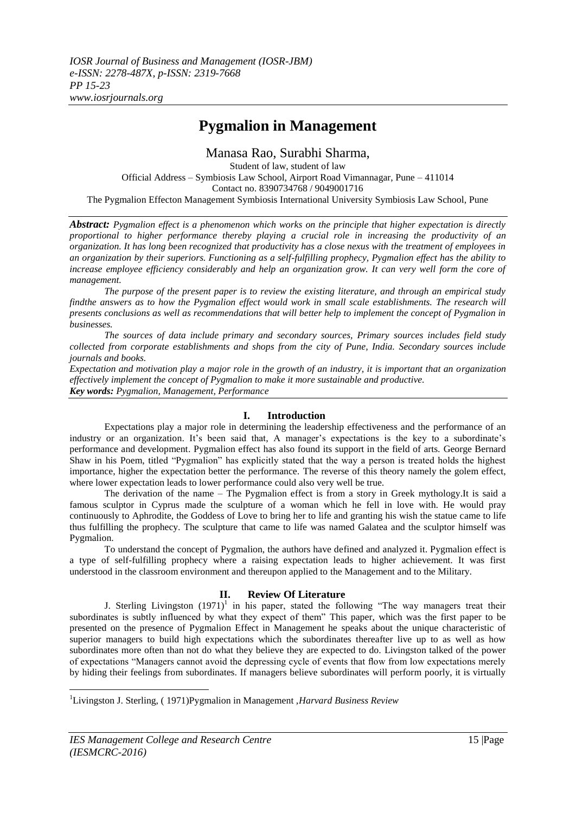# **Pygmalion in Management**

Manasa Rao, Surabhi Sharma,

Student of law, student of law Official Address – Symbiosis Law School, Airport Road Vimannagar, Pune – 411014 Contact no. 8390734768 / 9049001716 The Pygmalion Effecton Management Symbiosis International University Symbiosis Law School, Pune

*Abstract: Pygmalion effect is a phenomenon which works on the principle that higher expectation is directly proportional to higher performance thereby playing a crucial role in increasing the productivity of an organization. It has long been recognized that productivity has a close nexus with the treatment of employees in an organization by their superiors. Functioning as a self-fulfilling prophecy, Pygmalion effect has the ability to increase employee efficiency considerably and help an organization grow. It can very well form the core of management.*

*The purpose of the present paper is to review the existing literature, and through an empirical study findthe answers as to how the Pygmalion effect would work in small scale establishments. The research will presents conclusions as well as recommendations that will better help to implement the concept of Pygmalion in businesses.* 

*The sources of data include primary and secondary sources, Primary sources includes field study collected from corporate establishments and shops from the city of Pune, India. Secondary sources include journals and books.* 

*Expectation and motivation play a major role in the growth of an industry, it is important that an organization effectively implement the concept of Pygmalion to make it more sustainable and productive. Key words: Pygmalion, Management, Performance*

## **I. Introduction**

Expectations play a major role in determining the leadership effectiveness and the performance of an industry or an organization. It's been said that, A manager's expectations is the key to a subordinate's performance and development. Pygmalion effect has also found its support in the field of arts. George Bernard Shaw in his Poem, titled "Pygmalion" has explicitly stated that the way a person is treated holds the highest importance, higher the expectation better the performance. The reverse of this theory namely the golem effect, where lower expectation leads to lower performance could also very well be true.

The derivation of the name – The Pygmalion effect is from a story in Greek mythology.It is said a famous sculptor in Cyprus made the sculpture of a woman which he fell in love with. He would pray continuously to Aphrodite, the Goddess of Love to bring her to life and granting his wish the statue came to life thus fulfilling the prophecy. The sculpture that came to life was named Galatea and the sculptor himself was Pygmalion.

To understand the concept of Pygmalion, the authors have defined and analyzed it. Pygmalion effect is a type of self-fulfilling prophecy where a raising expectation leads to higher achievement. It was first understood in the classroom environment and thereupon applied to the Management and to the Military.

## **II. Review Of Literature**

J. Sterling Livingston  $(1971)^1$  in his paper, stated the following "The way managers treat their subordinates is subtly influenced by what they expect of them" This paper, which was the first paper to be presented on the presence of Pygmalion Effect in Management he speaks about the unique characteristic of superior managers to build high expectations which the subordinates thereafter live up to as well as how subordinates more often than not do what they believe they are expected to do. Livingston talked of the power of expectations "Managers cannot avoid the depressing cycle of events that flow from low expectations merely by hiding their feelings from subordinates. If managers believe subordinates will perform poorly, it is virtually

**.** 

<sup>1</sup>Livingston J. Sterling, ( 1971)Pygmalion in Management ,*Harvard Business Review*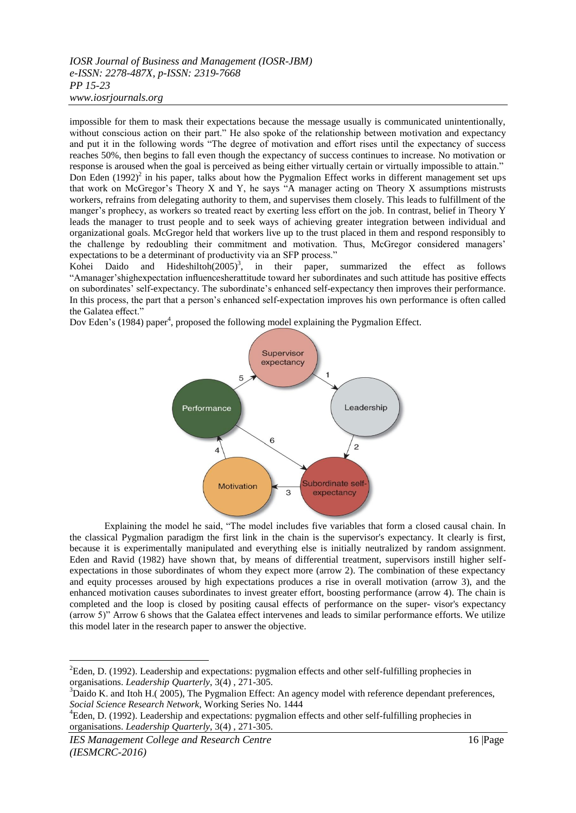impossible for them to mask their expectations because the message usually is communicated unintentionally, without conscious action on their part." He also spoke of the relationship between motivation and expectancy and put it in the following words "The degree of motivation and effort rises until the expectancy of success reaches 50%, then begins to fall even though the expectancy of success continues to increase. No motivation or response is aroused when the goal is perceived as being either virtually certain or virtually impossible to attain." Don Eden (1992)<sup>2</sup> in his paper, talks about how the Pygmalion Effect works in different management set ups that work on McGregor's Theory X and Y, he says "A manager acting on Theory X assumptions mistrusts workers, refrains from delegating authority to them, and supervises them closely. This leads to fulfillment of the manger's prophecy, as workers so treated react by exerting less effort on the job. In contrast, belief in Theory Y leads the manager to trust people and to seek ways of achieving greater integration between individual and organizational goals. McGregor held that workers live up to the trust placed in them and respond responsibly to the challenge by redoubling their commitment and motivation. Thus, McGregor considered managers' expectations to be a determinant of productivity via an SFP process.'

Kohei Daido and Hideshiltoh $(2005)^3$ , in their paper, summarized the effect as follows "Amanager'shighexpectation influencesherattitude toward her subordinates and such attitude has positive effects on subordinates' self-expectancy. The subordinate's enhanced self-expectancy then improves their performance. In this process, the part that a person's enhanced self-expectation improves his own performance is often called the Galatea effect."

Dov Eden's (1984) paper<sup>4</sup>, proposed the following model explaining the Pygmalion Effect.



Explaining the model he said, "The model includes five variables that form a closed causal chain. In the classical Pygmalion paradigm the first link in the chain is the supervisor's expectancy. It clearly is first, because it is experimentally manipulated and everything else is initially neutralized by random assignment. Eden and Ravid (1982) have shown that, by means of differential treatment, supervisors instill higher selfexpectations in those subordinates of whom they expect more (arrow 2). The combination of these expectancy and equity processes aroused by high expectations produces a rise in overall motivation (arrow 3), and the enhanced motivation causes subordinates to invest greater effort, boosting performance (arrow 4). The chain is completed and the loop is closed by positing causal effects of performance on the super- visor's expectancy (arrow 5)" Arrow 6 shows that the Galatea effect intervenes and leads to similar performance efforts. We utilize this model later in the research paper to answer the objective.

*IES Management College and Research Centre* 16 |Page *(IESMCRC-2016)* 

1

<sup>&</sup>lt;sup>2</sup>Eden, D. (1992). Leadership and expectations: pygmalion effects and other self-fulfilling prophecies in organisations. *Leadership Quarterly*, 3(4) , 271-305.

 $3$ Daido K. and Itoh H.( 2005), The Pygmalion Effect: An agency model with reference dependant preferences, *Social Science Research Network*, Working Series No. 1444

<sup>&</sup>lt;sup>4</sup>Eden, D. (1992). Leadership and expectations: pygmalion effects and other self-fulfilling prophecies in organisations. *Leadership Quarterly*, 3(4) , 271-305.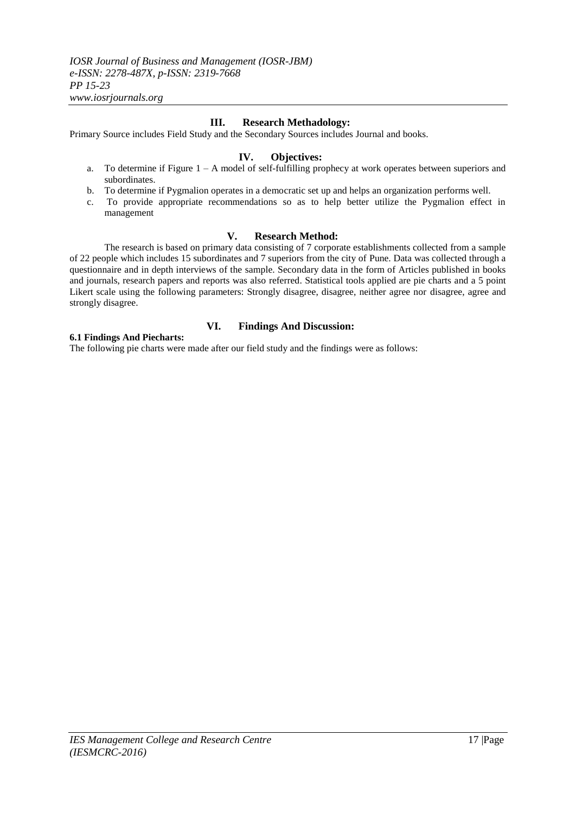## **III. Research Methadology:**

Primary Source includes Field Study and the Secondary Sources includes Journal and books.

### **IV. Objectives:**

- a. To determine if Figure 1 A model of self-fulfilling prophecy at work operates between superiors and subordinates.
- b. To determine if Pygmalion operates in a democratic set up and helps an organization performs well.
- c. To provide appropriate recommendations so as to help better utilize the Pygmalion effect in management

#### **V. Research Method:**

The research is based on primary data consisting of 7 corporate establishments collected from a sample of 22 people which includes 15 subordinates and 7 superiors from the city of Pune. Data was collected through a questionnaire and in depth interviews of the sample. Secondary data in the form of Articles published in books and journals, research papers and reports was also referred. Statistical tools applied are pie charts and a 5 point Likert scale using the following parameters: Strongly disagree, disagree, neither agree nor disagree, agree and strongly disagree.

## **6.1 Findings And Piecharts:**

## **VI. Findings And Discussion:**

The following pie charts were made after our field study and the findings were as follows: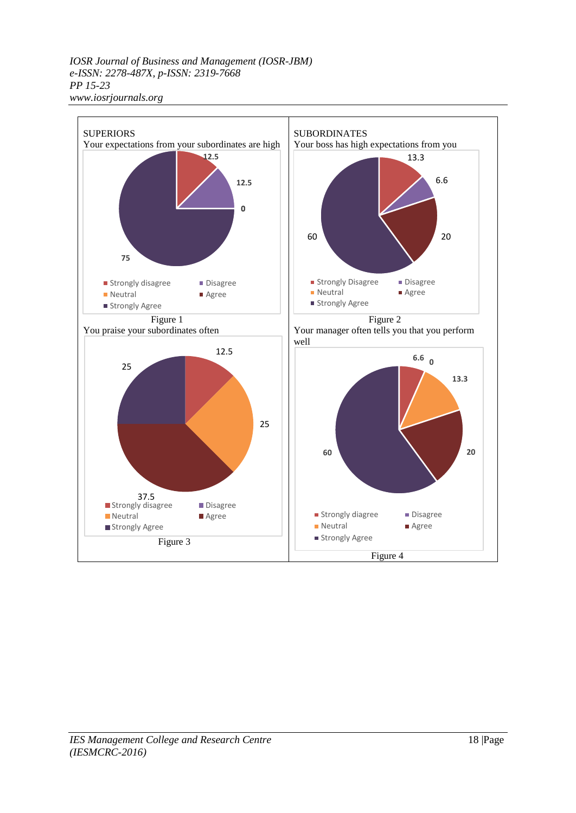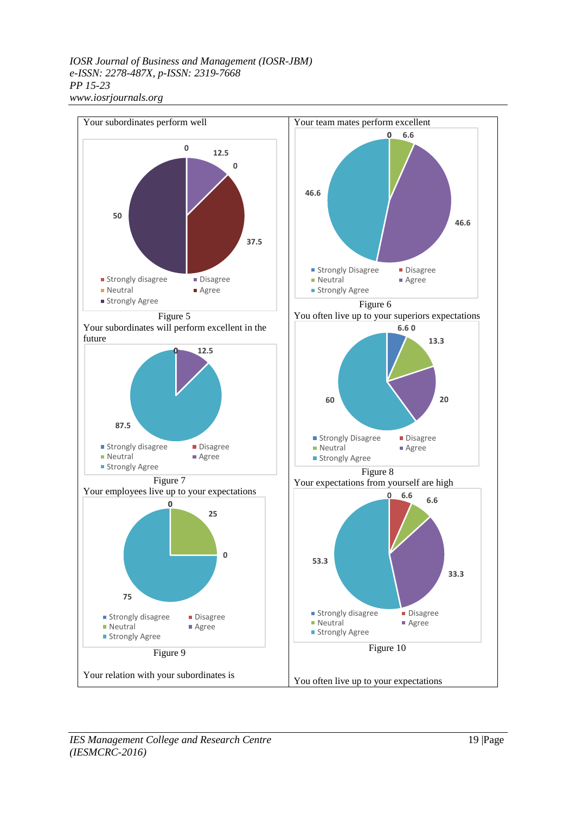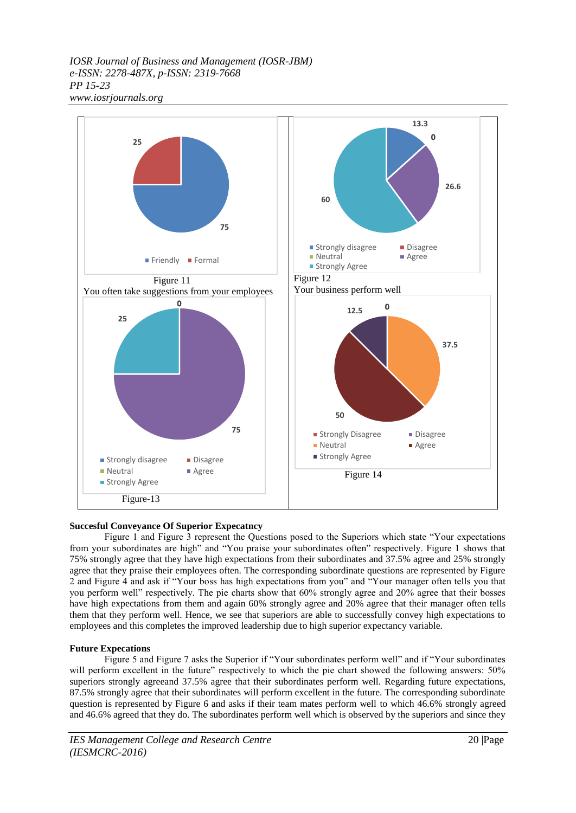

#### **Succesful Conveyance Of Superior Expecatncy**

Figure 1 and Figure 3 represent the Questions posed to the Superiors which state "Your expectations from your subordinates are high" and "You praise your subordinates often" respectively. Figure 1 shows that 75% strongly agree that they have high expectations from their subordinates and 37.5% agree and 25% strongly agree that they praise their employees often. The corresponding subordinate questions are represented by Figure 2 and Figure 4 and ask if "Your boss has high expectations from you" and "Your manager often tells you that you perform well" respectively. The pie charts show that 60% strongly agree and 20% agree that their bosses have high expectations from them and again 60% strongly agree and 20% agree that their manager often tells them that they perform well. Hence, we see that superiors are able to successfully convey high expectations to employees and this completes the improved leadership due to high superior expectancy variable.

#### **Future Expecations**

Figure 5 and Figure 7 asks the Superior if "Your subordinates perform well" and if "Your subordinates will perform excellent in the future" respectively to which the pie chart showed the following answers: 50% superiors strongly agreeand 37.5% agree that their subordinates perform well. Regarding future expectations, 87.5% strongly agree that their subordinates will perform excellent in the future. The corresponding subordinate question is represented by Figure 6 and asks if their team mates perform well to which 46.6% strongly agreed and 46.6% agreed that they do. The subordinates perform well which is observed by the superiors and since they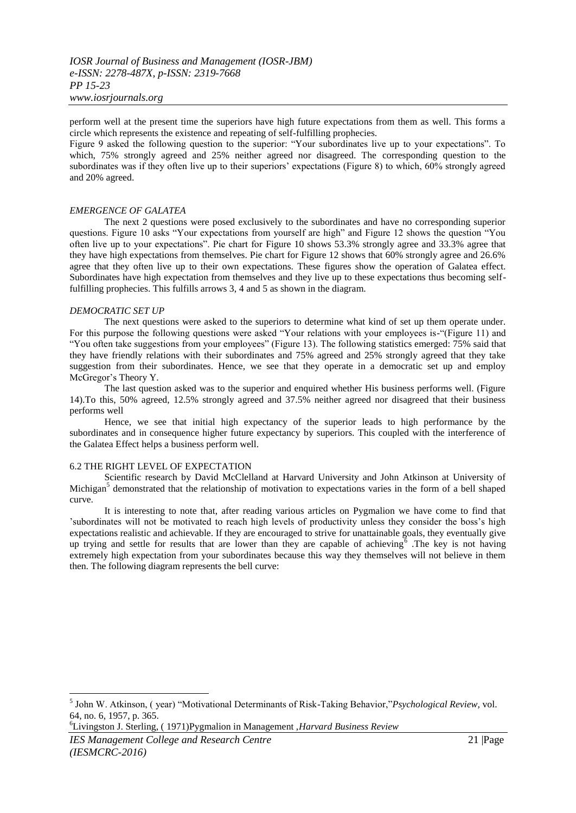perform well at the present time the superiors have high future expectations from them as well. This forms a circle which represents the existence and repeating of self-fulfilling prophecies.

Figure 9 asked the following question to the superior: "Your subordinates live up to your expectations". To which, 75% strongly agreed and 25% neither agreed nor disagreed. The corresponding question to the subordinates was if they often live up to their superiors' expectations (Figure 8) to which, 60% strongly agreed and 20% agreed.

#### *EMERGENCE OF GALATEA*

The next 2 questions were posed exclusively to the subordinates and have no corresponding superior questions. Figure 10 asks "Your expectations from yourself are high" and Figure 12 shows the question "You often live up to your expectations". Pie chart for Figure 10 shows 53.3% strongly agree and 33.3% agree that they have high expectations from themselves. Pie chart for Figure 12 shows that 60% strongly agree and 26.6% agree that they often live up to their own expectations. These figures show the operation of Galatea effect. Subordinates have high expectation from themselves and they live up to these expectations thus becoming selffulfilling prophecies. This fulfills arrows 3, 4 and 5 as shown in the diagram.

#### *DEMOCRATIC SET UP*

The next questions were asked to the superiors to determine what kind of set up them operate under. For this purpose the following questions were asked "Your relations with your employees is-"(Figure 11) and "You often take suggestions from your employees" (Figure 13). The following statistics emerged: 75% said that they have friendly relations with their subordinates and 75% agreed and 25% strongly agreed that they take suggestion from their subordinates. Hence, we see that they operate in a democratic set up and employ McGregor's Theory Y.

The last question asked was to the superior and enquired whether His business performs well. (Figure 14).To this, 50% agreed, 12.5% strongly agreed and 37.5% neither agreed nor disagreed that their business performs well

Hence, we see that initial high expectancy of the superior leads to high performance by the subordinates and in consequence higher future expectancy by superiors. This coupled with the interference of the Galatea Effect helps a business perform well.

#### 6.2 THE RIGHT LEVEL OF EXPECTATION

Scientific research by David McClelland at Harvard University and John Atkinson at University of Michigan<sup>5</sup> demonstrated that the relationship of motivation to expectations varies in the form of a bell shaped curve.

It is interesting to note that, after reading various articles on Pygmalion we have come to find that 'subordinates will not be motivated to reach high levels of productivity unless they consider the boss's high expectations realistic and achievable. If they are encouraged to strive for unattainable goals, they eventually give up trying and settle for results that are lower than they are capable of achieving  $\overline{6}$ . The key is not having extremely high expectation from your subordinates because this way they themselves will not believe in them then. The following diagram represents the bell curve:

<sup>6</sup>Livingston J. Sterling, ( 1971)Pygmalion in Management ,*Harvard Business Review*

1

<sup>5</sup> John W. Atkinson, ( year) "Motivational Determinants of Risk-Taking Behavior,"*Psychological Review,* vol. 64, no. 6, 1957, p. 365.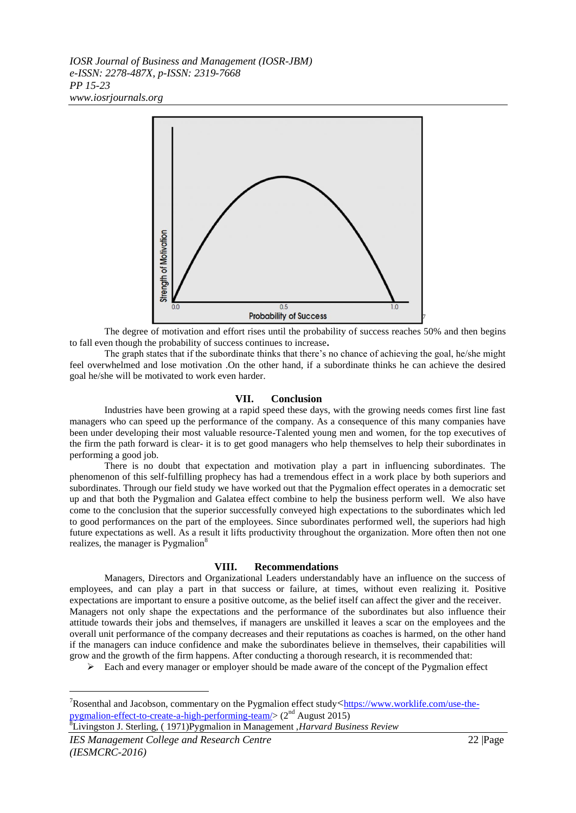

The degree of motivation and effort rises until the probability of success reaches 50% and then begins to fall even though the probability of success continues to increase**.** 

The graph states that if the subordinate thinks that there's no chance of achieving the goal, he/she might feel overwhelmed and lose motivation .On the other hand, if a subordinate thinks he can achieve the desired goal he/she will be motivated to work even harder.

#### **VII. Conclusion**

Industries have been growing at a rapid speed these days, with the growing needs comes first line fast managers who can speed up the performance of the company. As a consequence of this many companies have been under developing their most valuable resource-Talented young men and women, for the top executives of the firm the path forward is clear- it is to get good managers who help themselves to help their subordinates in performing a good job.

There is no doubt that expectation and motivation play a part in influencing subordinates. The phenomenon of this self-fulfilling prophecy has had a tremendous effect in a work place by both superiors and subordinates. Through our field study we have worked out that the Pygmalion effect operates in a democratic set up and that both the Pygmalion and Galatea effect combine to help the business perform well. We also have come to the conclusion that the superior successfully conveyed high expectations to the subordinates which led to good performances on the part of the employees. Since subordinates performed well, the superiors had high future expectations as well. As a result it lifts productivity throughout the organization. More often then not one realizes, the manager is Pygmalion<sup>8</sup>

#### **VIII. Recommendations**

Managers, Directors and Organizational Leaders understandably have an influence on the success of employees, and can play a part in that success or failure, at times, without even realizing it. Positive expectations are important to ensure a positive outcome, as the belief itself can affect the giver and the receiver. Managers not only shape the expectations and the performance of the subordinates but also influence their attitude towards their jobs and themselves, if managers are unskilled it leaves a scar on the employees and the overall unit performance of the company decreases and their reputations as coaches is harmed, on the other hand if the managers can induce confidence and make the subordinates believe in themselves, their capabilities will grow and the growth of the firm happens. After conducting a thorough research, it is recommended that:

 $\triangleright$  Each and every manager or employer should be made aware of the concept of the Pygmalion effect

<sup>8</sup>Livingston J. Sterling, ( 1971)Pygmalion in Management ,*Harvard Business Review*

1

<sup>&</sup>lt;sup>7</sup>Rosenthal and Jacobson, commentary on the Pygmalion effect study $\lt$ [https://www.worklife.com/use-the](https://www.worklife.com/use-the-pygmalion-effect-to-create-a-high-performing-team/)[pygmalion-effect-to-create-a-high-performing-team/>](https://www.worklife.com/use-the-pygmalion-effect-to-create-a-high-performing-team/) (2<sup>nd</sup> August 2015)